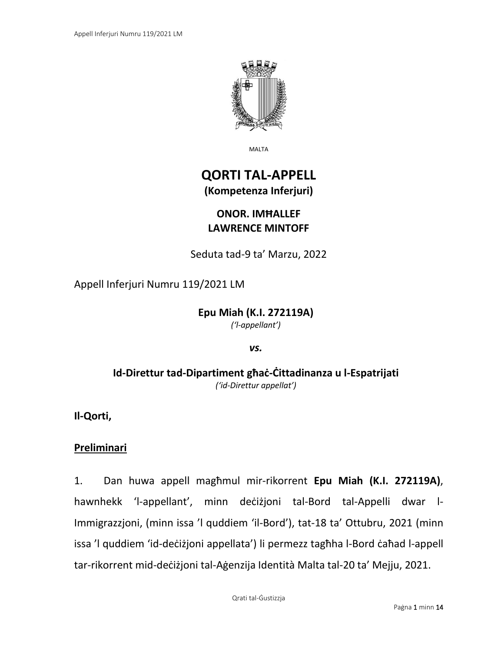

MALTA

# **QORTI TAL-APPELL (Kompetenza Inferjuri)**

## **ONOR. IMĦALLEF LAWRENCE MINTOFF**

Seduta tad-9 ta' Marzu, 2022

Appell Inferjuri Numru 119/2021 LM

**Epu Miah (K.I. 272119A)** *('l-appellant')*

*vs.*

**Id-Direttur tad-Dipartiment għaċ-Ċittadinanza u l-Espatrijati** *('id-Direttur appellat')*

**Il-Qorti,**

### **Preliminari**

1. Dan huwa appell magħmul mir-rikorrent **Epu Miah (K.I. 272119A)**, hawnhekk 'l-appellant', minn deċiżjoni tal-Bord tal-Appelli dwar l-Immigrazzjoni, (minn issa 'l quddiem 'il-Bord'), tat-18 ta' Ottubru, 2021 (minn issa 'l quddiem 'id-deċiżjoni appellata') li permezz tagħha l-Bord ċaħad l-appell tar-rikorrent mid-deċiżjoni tal-Aġenzija Identità Malta tal-20 ta' Mejju, 2021.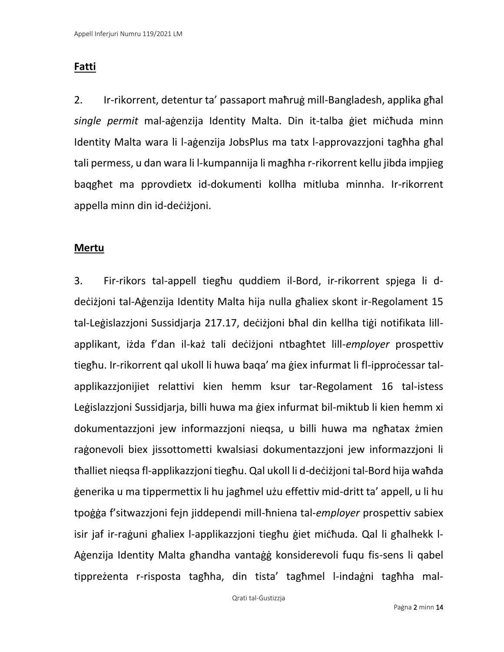## **Fatti**

2. Ir-rikorrent, detentur ta' passaport maħruġ mill-Bangladesh, applika għal *single permit* mal-aġenzija Identity Malta. Din it-talba ġiet miċħuda minn Identity Malta wara li l-aġenzija JobsPlus ma tatx l-approvazzjoni tagħha għal tali permess, u dan wara li l-kumpannija li magħha r-rikorrent kellu jibda impjieg baqgħet ma pprovdietx id-dokumenti kollha mitluba minnha. Ir-rikorrent appella minn din id-deċiżjoni.

### **Mertu**

3. Fir-rikors tal-appell tiegħu quddiem il-Bord, ir-rikorrent spjega li ddeċiżjoni tal-Aġenzija Identity Malta hija nulla għaliex skont ir-Regolament 15 tal-Leġislazzjoni Sussidjarja 217.17, deċiżjoni bħal din kellha tiġi notifikata lillapplikant, iżda f'dan il-każ tali deċiżjoni ntbagħtet lill-*employer* prospettiv tiegħu. Ir-rikorrent qal ukoll li huwa baqa' ma ġiex infurmat li fl-ipproċessar talapplikazzjonijiet relattivi kien hemm ksur tar-Regolament 16 tal-istess Leġislazzjoni Sussidjarja, billi huwa ma ġiex infurmat bil-miktub li kien hemm xi dokumentazzjoni jew informazzjoni nieqsa, u billi huwa ma ngħatax żmien raġonevoli biex jissottometti kwalsiasi dokumentazzjoni jew informazzjoni li tħalliet nieqsa fl-applikazzjoni tiegħu. Qal ukoll li d-deċiżjoni tal-Bord hija waħda ġenerika u ma tippermettix li hu jagħmel użu effettiv mid-dritt ta' appell, u li hu tpoġġa f'sitwazzjoni fejn jiddependi mill-ħniena tal-*employer* prospettiv sabiex isir jaf ir-raġuni għaliex l-applikazzjoni tiegħu ġiet miċħuda. Qal li għalhekk l-Aġenzija Identity Malta għandha vantaġġ konsiderevoli fuqu fis-sens li qabel tippreżenta r-risposta tagħha, din tista' tagħmel l-indaġni tagħha mal-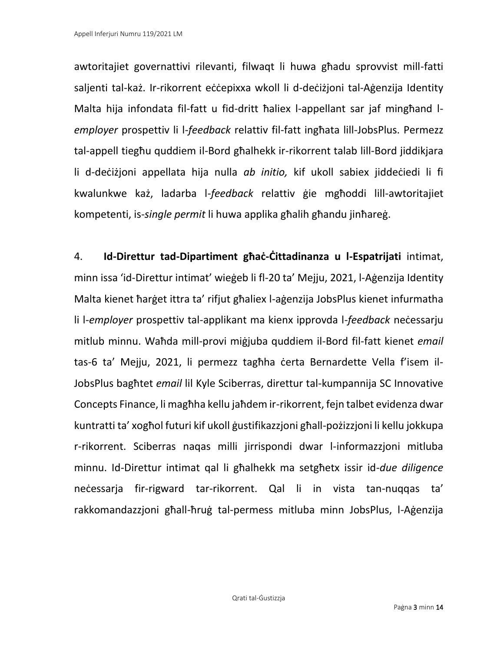awtoritajiet governattivi rilevanti, filwaqt li huwa għadu sprovvist mill-fatti saljenti tal-każ. Ir-rikorrent eċċepixxa wkoll li d-deċiżjoni tal-Aġenzija Identity Malta hija infondata fil-fatt u fid-dritt ħaliex l-appellant sar jaf mingħand l*employer* prospettiv li l-*feedback* relattiv fil-fatt ingħata lill-JobsPlus. Permezz tal-appell tiegħu quddiem il-Bord għalhekk ir-rikorrent talab lill-Bord jiddikjara li d-deċiżjoni appellata hija nulla *ab initio,* kif ukoll sabiex jiddeċiedi li fi kwalunkwe każ, ladarba l-*feedback* relattiv ġie mgħoddi lill-awtoritajiet kompetenti, is-*single permit* li huwa applika għalih għandu jinħareġ.

4. **Id-Direttur tad-Dipartiment għaċ-Ċittadinanza u l-Espatrijati** intimat, minn issa 'id-Direttur intimat' wieġeb li fl-20 ta' Mejju, 2021, l-Aġenzija Identity Malta kienet ħarġet ittra ta' rifjut għaliex l-aġenzija JobsPlus kienet infurmatha li l-*employer* prospettiv tal-applikant ma kienx ipprovda l-*feedback* neċessarju mitlub minnu. Waħda mill-provi miġjuba quddiem il-Bord fil-fatt kienet *email*  tas-6 ta' Mejju, 2021, li permezz tagħha ċerta Bernardette Vella f'isem il-JobsPlus bagħtet *email* lil Kyle Sciberras, direttur tal-kumpannija SC Innovative Concepts Finance, li magħha kellu jaħdem ir-rikorrent, fejn talbet evidenza dwar kuntratti ta' xogħol futuri kif ukoll ġustifikazzjoni għall-pożizzjoni li kellu jokkupa r-rikorrent. Sciberras naqas milli jirrispondi dwar l-informazzjoni mitluba minnu. Id-Direttur intimat qal li għalhekk ma setgħetx issir id-*due diligence*  neċessarja fir-rigward tar-rikorrent. Qal li in vista tan-nuqqas ta' rakkomandazzjoni għall-ħruġ tal-permess mitluba minn JobsPlus, l-Aġenzija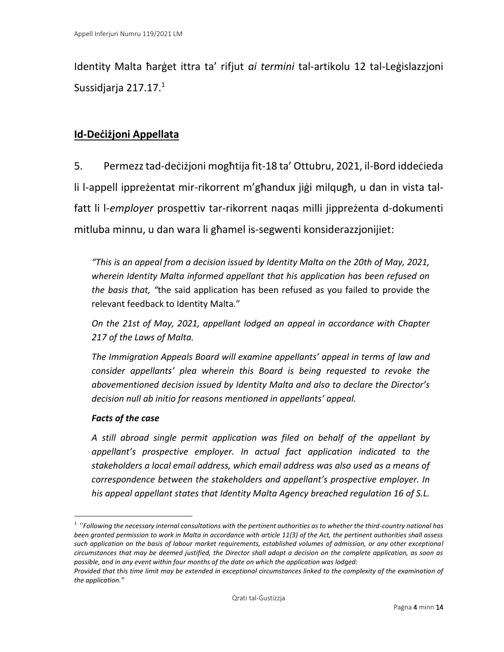Identity Malta ħarġet ittra ta' rifjut *ai termini* tal-artikolu 12 tal-Leġislazzjoni Sussidjarja 217.17.<sup>1</sup>

### **Id-Deċiżjoni Appellata**

5. Permezz tad-deċiżjoni mogħtija fit-18 ta' Ottubru, 2021, il-Bord iddeċieda li l-appell ippreżentat mir-rikorrent m'għandux jiġi milqugħ, u dan in vista talfatt li l-*employer* prospettiv tar-rikorrent naqas milli jippreżenta d-dokumenti mitluba minnu, u dan wara li għamel is-segwenti konsiderazzjonijiet:

*"This is an appeal from a decision issued by Identity Malta on the 20th of May, 2021, wherein Identity Malta informed appellant that his application has been refused on the basis that, "*the said application has been refused as you failed to provide the relevant feedback to Identity Malta."

*On the 21st of May, 2021, appellant lodged an appeal in accordance with Chapter 217 of the Laws of Malta.*

*The Immigration Appeals Board will examine appellants' appeal in terms of law and consider appellants' plea wherein this Board is being requested to revoke the abovementioned decision issued by Identity Malta and also to declare the Director's decision null ab initio for reasons mentioned in appellants' appeal.*

### *Facts of the case*

*A still abroad single permit application was filed on behalf of the appellant by appellant's prospective employer. In actual fact application indicated to the stakeholders a local email address, which email address was also used as a means of correspondence between the stakeholders and appellant's prospective employer. In his appeal appellant states that Identity Malta Agency breached regulation 16 of S.L.* 

<sup>1</sup> *"Following the necessary internal consultations with the pertinent authorities as to whether the third-country national has been granted permission to work in Malta in accordance with article 11(3) of the Act, the pertinent authorities shall assess*  such application on the basis of labour market requirements, established volumes of admission, or any other exceptional *circumstances that may be deemed justified, the Director shall adopt a decision on the complete application, as soon as possible, and in any event within four months of the date on which the application was lodged:*

*Provided that this time limit may be extended in exceptional circumstances linked to the complexity of the examination of the application."*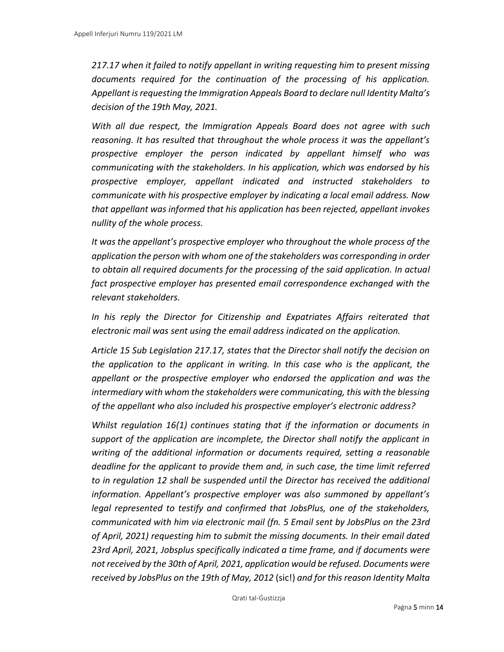*217.17 when it failed to notify appellant in writing requesting him to present missing documents required for the continuation of the processing of his application. Appellant is requesting the Immigration Appeals Board to declare null Identity Malta's decision of the 19th May, 2021.*

*With all due respect, the Immigration Appeals Board does not agree with such reasoning. It has resulted that throughout the whole process it was the appellant's prospective employer the person indicated by appellant himself who was communicating with the stakeholders. In his application, which was endorsed by his prospective employer, appellant indicated and instructed stakeholders to communicate with his prospective employer by indicating a local email address. Now that appellant was informed that his application has been rejected, appellant invokes nullity of the whole process.*

*It was the appellant's prospective employer who throughout the whole process of the application the person with whom one of the stakeholders was corresponding in order to obtain all required documents for the processing of the said application. In actual fact prospective employer has presented email correspondence exchanged with the relevant stakeholders.*

*In his reply the Director for Citizenship and Expatriates Affairs reiterated that electronic mail was sent using the email address indicated on the application.*

*Article 15 Sub Legislation 217.17, states that the Director shall notify the decision on the application to the applicant in writing. In this case who is the applicant, the appellant or the prospective employer who endorsed the application and was the intermediary with whom the stakeholders were communicating, this with the blessing of the appellant who also included his prospective employer's electronic address?*

*Whilst regulation 16(1) continues stating that if the information or documents in support of the application are incomplete, the Director shall notify the applicant in writing of the additional information or documents required, setting a reasonable deadline for the applicant to provide them and, in such case, the time limit referred to in regulation 12 shall be suspended until the Director has received the additional information. Appellant's prospective employer was also summoned by appellant's legal represented to testify and confirmed that JobsPlus, one of the stakeholders, communicated with him via electronic mail (fn. 5 Email sent by JobsPlus on the 23rd of April, 2021) requesting him to submit the missing documents. In their email dated 23rd April, 2021, Jobsplus specifically indicated a time frame, and if documents were not received by the 30th of April, 2021, application would be refused. Documents were received by JobsPlus on the 19th of May, 2012* (sic!) *and for this reason Identity Malta*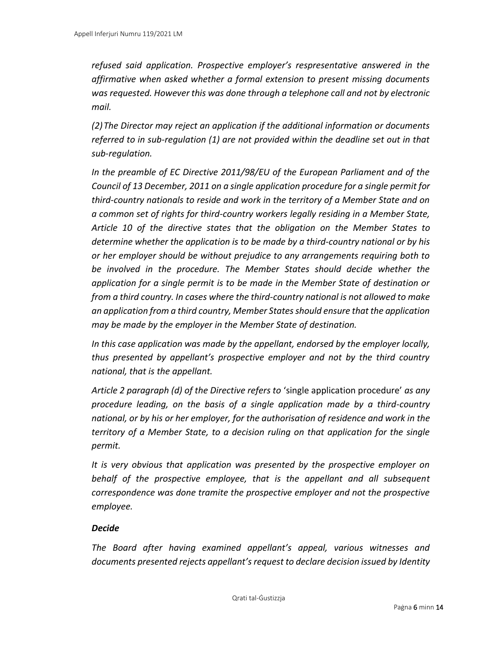*refused said application. Prospective employer's respresentative answered in the affirmative when asked whether a formal extension to present missing documents was requested. However this was done through a telephone call and not by electronic mail.*

*(2)The Director may reject an application if the additional information or documents referred to in sub-regulation (1) are not provided within the deadline set out in that sub-regulation.*

*In the preamble of EC Directive 2011/98/EU of the European Parliament and of the Council of 13 December, 2011 on a single application procedure for a single permit for third-country nationals to reside and work in the territory of a Member State and on a common set of rights for third-country workers legally residing in a Member State, Article 10 of the directive states that the obligation on the Member States to determine whether the application is to be made by a third-country national or by his or her employer should be without prejudice to any arrangements requiring both to be involved in the procedure. The Member States should decide whether the application for a single permit is to be made in the Member State of destination or from a third country. In cases where the third-country national is not allowed to make an application from a third country, Member States should ensure that the application may be made by the employer in the Member State of destination.*

*In this case application was made by the appellant, endorsed by the employer locally, thus presented by appellant's prospective employer and not by the third country national, that is the appellant.*

*Article 2 paragraph (d) of the Directive refers to* 'single application procedure' *as any procedure leading, on the basis of a single application made by a third-country national, or by his or her employer, for the authorisation of residence and work in the territory of a Member State, to a decision ruling on that application for the single permit.*

*It is very obvious that application was presented by the prospective employer on behalf of the prospective employee, that is the appellant and all subsequent correspondence was done tramite the prospective employer and not the prospective employee.*

#### *Decide*

*The Board after having examined appellant's appeal, various witnesses and documents presented rejects appellant's request to declare decision issued by Identity*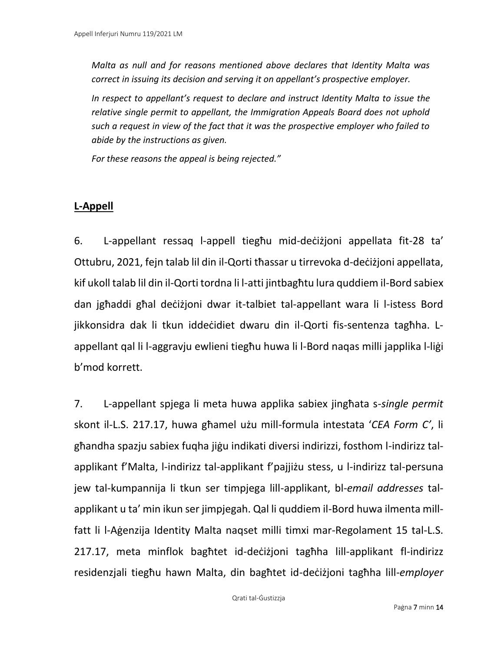*Malta as null and for reasons mentioned above declares that Identity Malta was correct in issuing its decision and serving it on appellant's prospective employer.*

*In respect to appellant's request to declare and instruct Identity Malta to issue the relative single permit to appellant, the Immigration Appeals Board does not uphold such a request in view of the fact that it was the prospective employer who failed to abide by the instructions as given.*

*For these reasons the appeal is being rejected."*

### **L-Appell**

6. L-appellant ressaq l-appell tiegħu mid-deċiżjoni appellata fit-28 ta' Ottubru, 2021, fejn talab lil din il-Qorti tħassar u tirrevoka d-deċiżjoni appellata, kif ukoll talab lil din il-Qorti tordna li l-atti jintbagħtu lura quddiem il-Bord sabiex dan jgħaddi għal deċiżjoni dwar it-talbiet tal-appellant wara li l-istess Bord jikkonsidra dak li tkun iddeċidiet dwaru din il-Qorti fis-sentenza tagħha. Lappellant qal li l-aggravju ewlieni tiegħu huwa li l-Bord naqas milli japplika l-liġi b'mod korrett.

7. L-appellant spjega li meta huwa applika sabiex jingħata s-*single permit*  skont il-L.S. 217.17, huwa għamel użu mill-formula intestata '*CEA Form C'*, li għandha spazju sabiex fuqha jiġu indikati diversi indirizzi, fosthom l-indirizz talapplikant f'Malta, l-indirizz tal-applikant f'pajjiżu stess, u l-indirizz tal-persuna jew tal-kumpannija li tkun ser timpjega lill-applikant, bl-*email addresses* talapplikant u ta' min ikun ser jimpjegah. Qal li quddiem il-Bord huwa ilmenta millfatt li l-Aġenzija Identity Malta naqset milli timxi mar-Regolament 15 tal-L.S. 217.17, meta minflok bagħtet id-deċiżjoni tagħha lill-applikant fl-indirizz residenzjali tiegħu hawn Malta, din bagħtet id-deċiżjoni tagħha lill-*employer*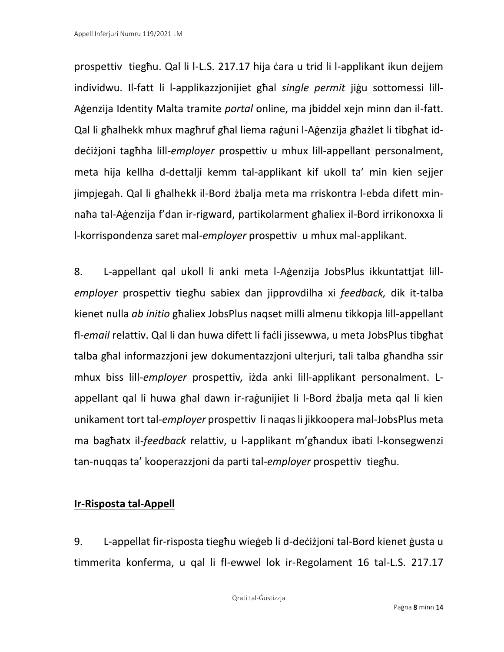prospettiv tiegħu. Qal li l-L.S. 217.17 hija ċara u trid li l-applikant ikun dejjem individwu. Il-fatt li l-applikazzjonijiet għal *single permit* jiġu sottomessi lill-Aġenzija Identity Malta tramite *portal* online, ma jbiddel xejn minn dan il-fatt. Qal li għalhekk mhux magħruf għal liema raġuni l-Aġenzija għażlet li tibgħat iddeċiżjoni tagħha lill-*employer* prospettiv u mhux lill-appellant personalment, meta hija kellha d-dettalji kemm tal-applikant kif ukoll ta' min kien sejjer jimpjegah. Qal li għalhekk il-Bord żbalja meta ma rriskontra l-ebda difett minnaħa tal-Aġenzija f'dan ir-rigward, partikolarment għaliex il-Bord irrikonoxxa li l-korrispondenza saret mal-*employer* prospettiv u mhux mal-applikant.

8. L-appellant qal ukoll li anki meta l-Aġenzija JobsPlus ikkuntattjat lill*employer* prospettiv tiegħu sabiex dan jipprovdilha xi *feedback,* dik it-talba kienet nulla *ab initio* għaliex JobsPlus naqset milli almenu tikkopja lill-appellant fl-*email* relattiv. Qal li dan huwa difett li faċli jissewwa, u meta JobsPlus tibgħat talba għal informazzjoni jew dokumentazzjoni ulterjuri, tali talba għandha ssir mhux biss lill-*employer* prospettiv*,* iżda anki lill-applikant personalment. Lappellant qal li huwa għal dawn ir-raġunijiet li l-Bord żbalja meta qal li kien unikament tort tal-*employer* prospettiv li naqas li jikkoopera mal-JobsPlus meta ma bagħatx il-*feedback* relattiv, u l-applikant m'għandux ibati l-konsegwenzi tan-nuqqas ta' kooperazzjoni da parti tal-*employer* prospettiv tiegħu.

### **Ir-Risposta tal-Appell**

9. L-appellat fir-risposta tiegħu wieġeb li d-deċiżjoni tal-Bord kienet ġusta u timmerita konferma, u qal li fl-ewwel lok ir-Regolament 16 tal-L.S. 217.17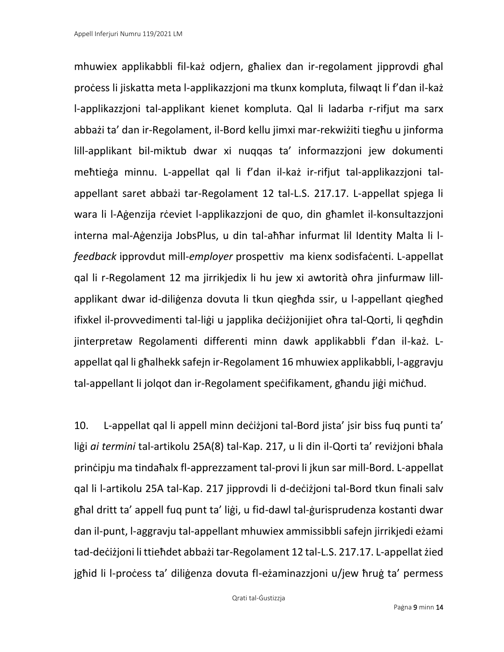mhuwiex applikabbli fil-każ odjern, għaliex dan ir-regolament jipprovdi għal proċess li jiskatta meta l-applikazzjoni ma tkunx kompluta, filwaqt li f'dan il-każ l-applikazzjoni tal-applikant kienet kompluta. Qal li ladarba r-rifjut ma sarx abbażi ta' dan ir-Regolament, il-Bord kellu jimxi mar-rekwiżiti tiegħu u jinforma lill-applikant bil-miktub dwar xi nuqqas ta' informazzjoni jew dokumenti meħtieġa minnu. L-appellat qal li f'dan il-każ ir-rifjut tal-applikazzjoni talappellant saret abbażi tar-Regolament 12 tal-L.S. 217.17. L-appellat spjega li wara li l-Aġenzija rċeviet l-applikazzjoni de quo, din għamlet il-konsultazzjoni interna mal-Aġenzija JobsPlus, u din tal-aħħar infurmat lil Identity Malta li l*feedback* ipprovdut mill-*employer* prospettiv ma kienx sodisfaċenti. L-appellat qal li r-Regolament 12 ma jirrikjedix li hu jew xi awtorità oħra jinfurmaw lillapplikant dwar id-diliġenza dovuta li tkun qiegħda ssir, u l-appellant qiegħed ifixkel il-provvedimenti tal-liġi u japplika deċiżjonijiet oħra tal-Qorti, li qegħdin jinterpretaw Regolamenti differenti minn dawk applikabbli f'dan il-każ. Lappellat qal li għalhekk safejn ir-Regolament 16 mhuwiex applikabbli, l-aggravju tal-appellant li jolqot dan ir-Regolament speċifikament, għandu jiġi miċħud.

10. L-appellat qal li appell minn deċiżjoni tal-Bord jista' jsir biss fuq punti ta' liġi *ai termini* tal-artikolu 25A(8) tal-Kap. 217, u li din il-Qorti ta' reviżjoni bħala prinċipju ma tindaħalx fl-apprezzament tal-provi li jkun sar mill-Bord. L-appellat qal li l-artikolu 25A tal-Kap. 217 jipprovdi li d-deċiżjoni tal-Bord tkun finali salv għal dritt ta' appell fuq punt ta' liġi, u fid-dawl tal-ġurisprudenza kostanti dwar dan il-punt, l-aggravju tal-appellant mhuwiex ammissibbli safejn jirrikjedi eżami tad-deċiżjoni li ttieħdet abbażi tar-Regolament 12 tal-L.S. 217.17. L-appellat żied jgħid li l-proċess ta' diliġenza dovuta fl-eżaminazzjoni u/jew ħruġ ta' permess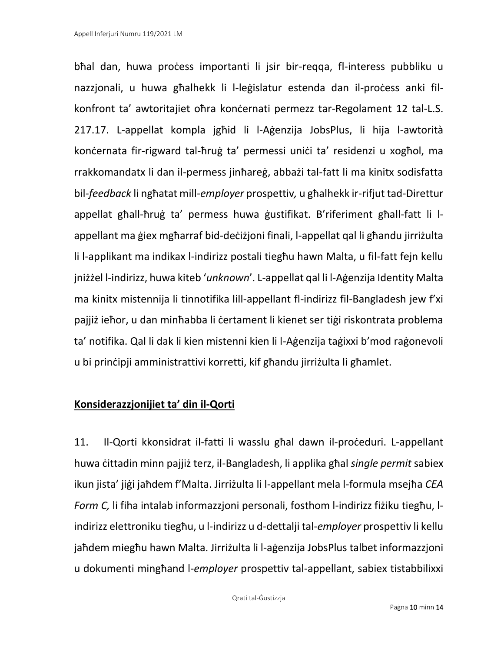bħal dan, huwa proċess importanti li jsir bir-reqqa, fl-interess pubbliku u nazzjonali, u huwa għalhekk li l-leġislatur estenda dan il-proċess anki filkonfront ta' awtoritajiet oħra konċernati permezz tar-Regolament 12 tal-L.S. 217.17. L-appellat kompla jgħid li l-Aġenzija JobsPlus, li hija l-awtorità konċernata fir-rigward tal-ħruġ ta' permessi uniċi ta' residenzi u xogħol, ma rrakkomandatx li dan il-permess jinħareġ, abbażi tal-fatt li ma kinitx sodisfatta bil-*feedback* li ngħatat mill-*employer* prospettiv*,* u għalhekk ir-rifjut tad-Direttur appellat għall-ħruġ ta' permess huwa ġustifikat. B'riferiment għall-fatt li lappellant ma ġiex mgħarraf bid-deċiżjoni finali, l-appellat qal li għandu jirriżulta li l-applikant ma indikax l-indirizz postali tiegħu hawn Malta, u fil-fatt fejn kellu jniżżel l-indirizz, huwa kiteb '*unknown*'. L-appellat qal li l-Aġenzija Identity Malta ma kinitx mistennija li tinnotifika lill-appellant fl-indirizz fil-Bangladesh jew f'xi pajjiż ieħor, u dan minħabba li ċertament li kienet ser tiġi riskontrata problema ta' notifika. Qal li dak li kien mistenni kien li l-Aġenzija taġixxi b'mod raġonevoli u bi prinċipji amministrattivi korretti, kif għandu jirriżulta li għamlet.

### **Konsiderazzjonijiet ta' din il-Qorti**

11. Il-Qorti kkonsidrat il-fatti li wasslu għal dawn il-proċeduri. L-appellant huwa ċittadin minn pajjiż terz, il-Bangladesh, li applika għal *single permit* sabiex ikun jista' jiġi jaħdem f'Malta. Jirriżulta li l-appellant mela l-formula msejħa *CEA Form C,* li fiha intalab informazzjoni personali, fosthom l-indirizz fiżiku tiegħu, lindirizz elettroniku tiegħu, u l-indirizz u d-dettalji tal-*employer* prospettiv li kellu jaħdem miegħu hawn Malta. Jirriżulta li l-aġenzija JobsPlus talbet informazzjoni u dokumenti mingħand l-*employer* prospettiv tal-appellant, sabiex tistabbilixxi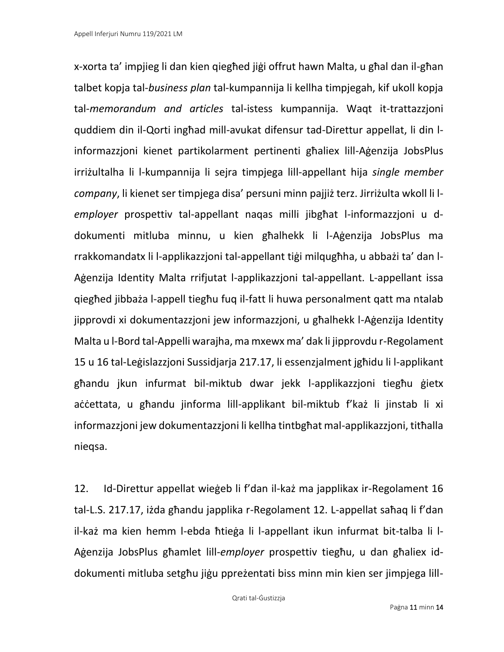x-xorta ta' impjieg li dan kien qiegħed jiġi offrut hawn Malta, u għal dan il-għan talbet kopja tal-*business plan* tal-kumpannija li kellha timpjegah, kif ukoll kopja tal-*memorandum and articles* tal-istess kumpannija. Waqt it-trattazzjoni quddiem din il-Qorti ingħad mill-avukat difensur tad-Direttur appellat, li din linformazzjoni kienet partikolarment pertinenti għaliex lill-Aġenzija JobsPlus irriżultalha li l-kumpannija li sejra timpjega lill-appellant hija *single member company*, li kienet ser timpjega disa' persuni minn pajjiż terz. Jirriżulta wkoll li l*employer* prospettiv tal-appellant naqas milli jibgħat l-informazzjoni u ddokumenti mitluba minnu, u kien għalhekk li l-Aġenzija JobsPlus ma rrakkomandatx li l-applikazzjoni tal-appellant tiġi milqugħha, u abbażi ta' dan l-Aġenzija Identity Malta rrifjutat l-applikazzjoni tal-appellant. L-appellant issa qiegħed jibbaża l-appell tiegħu fuq il-fatt li huwa personalment qatt ma ntalab jipprovdi xi dokumentazzjoni jew informazzjoni, u għalhekk l-Aġenzija Identity Malta u l-Bord tal-Appelli warajha, ma mxewx ma' dak li jipprovdu r-Regolament 15 u 16 tal-Leġislazzjoni Sussidjarja 217.17, li essenzjalment jgħidu li l-applikant għandu jkun infurmat bil-miktub dwar jekk l-applikazzjoni tiegħu ġietx aċċettata, u għandu jinforma lill-applikant bil-miktub f'każ li jinstab li xi informazzjoni jew dokumentazzjoni li kellha tintbgħat mal-applikazzjoni, titħalla nieqsa.

12. Id-Direttur appellat wieġeb li f'dan il-każ ma japplikax ir-Regolament 16 tal-L.S. 217.17, iżda għandu japplika r-Regolament 12. L-appellat saħaq li f'dan il-każ ma kien hemm l-ebda ħtieġa li l-appellant ikun infurmat bit-talba li l-Aġenzija JobsPlus għamlet lill-*employer* prospettiv tiegħu, u dan għaliex iddokumenti mitluba setgħu jiġu ppreżentati biss minn min kien ser jimpjega lill-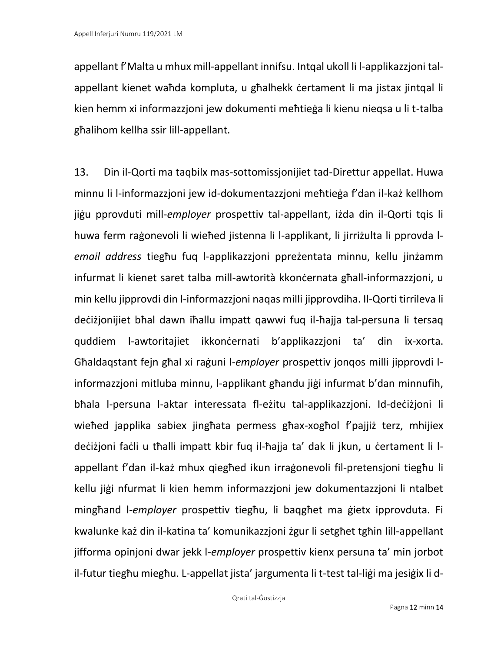appellant f'Malta u mhux mill-appellant innifsu. Intqal ukoll li l-applikazzjoni talappellant kienet waħda kompluta, u għalhekk ċertament li ma jistax jintqal li kien hemm xi informazzjoni jew dokumenti meħtieġa li kienu nieqsa u li t-talba għalihom kellha ssir lill-appellant.

13. Din il-Qorti ma taqbilx mas-sottomissjonijiet tad-Direttur appellat. Huwa minnu li l-informazzjoni jew id-dokumentazzjoni meħtieġa f'dan il-każ kellhom jiġu pprovduti mill-*employer* prospettiv tal-appellant, iżda din il-Qorti tqis li huwa ferm raġonevoli li wieħed jistenna li l-applikant, li jirriżulta li pprovda l*email address* tiegħu fuq l-applikazzjoni ppreżentata minnu, kellu jinżamm infurmat li kienet saret talba mill-awtorità kkonċernata għall-informazzjoni, u min kellu jipprovdi din l-informazzjoni naqas milli jipprovdiha. Il-Qorti tirrileva li deċiżjonijiet bħal dawn iħallu impatt qawwi fuq il-ħajja tal-persuna li tersaq quddiem l-awtoritajiet ikkonċernati b'applikazzjoni ta' din ix-xorta. Għaldaqstant fejn għal xi raġuni l-*employer* prospettiv jonqos milli jipprovdi linformazzjoni mitluba minnu, l-applikant għandu jiġi infurmat b'dan minnufih, bħala l-persuna l-aktar interessata fl-eżitu tal-applikazzjoni. Id-deċiżjoni li wieħed japplika sabiex jingħata permess għax-xogħol f'pajjiż terz, mhijiex deċiżjoni faċli u tħalli impatt kbir fuq il-ħajja ta' dak li jkun, u ċertament li lappellant f'dan il-każ mhux qiegħed ikun irraġonevoli fil-pretensjoni tiegħu li kellu jiġi nfurmat li kien hemm informazzjoni jew dokumentazzjoni li ntalbet mingħand l-*employer* prospettiv tiegħu, li baqgħet ma ġietx ipprovduta. Fi kwalunke każ din il-katina ta' komunikazzjoni żgur li setgħet tgħin lill-appellant jifforma opinjoni dwar jekk l-*employer* prospettiv kienx persuna ta' min jorbot il-futur tiegħu miegħu. L-appellat jista' jargumenta li t-test tal-liġi ma jesiġix li d-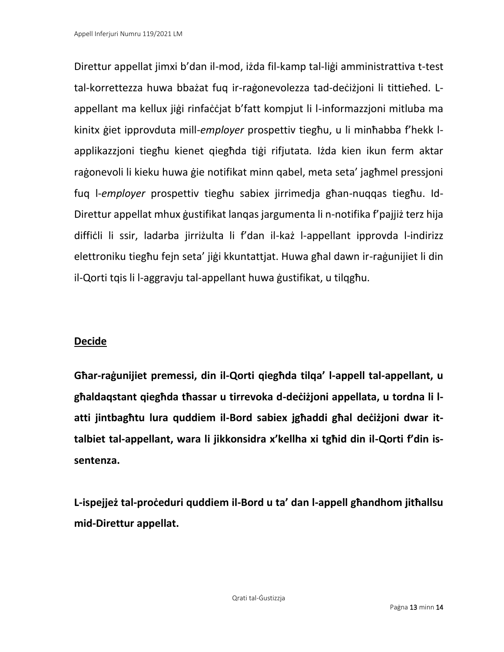Direttur appellat jimxi b'dan il-mod, iżda fil-kamp tal-liġi amministrattiva t-test tal-korrettezza huwa bbażat fuq ir-raġonevolezza tad-deċiżjoni li tittieħed. Lappellant ma kellux jiġi rinfaċċjat b'fatt kompjut li l-informazzjoni mitluba ma kinitx ġiet ipprovduta mill-*employer* prospettiv tiegħu, u li minħabba f'hekk lapplikazzjoni tiegħu kienet qiegħda tiġi rifjutata*.* Iżda kien ikun ferm aktar raġonevoli li kieku huwa ġie notifikat minn qabel, meta seta' jagħmel pressjoni fuq l-*employer* prospettiv tiegħu sabiex jirrimedja għan-nuqqas tiegħu. Id-Direttur appellat mhux ġustifikat lanqas jargumenta li n-notifika f'pajjiż terz hija diffiċli li ssir, ladarba jirriżulta li f'dan il-każ l-appellant ipprovda l-indirizz elettroniku tiegħu fejn seta' jiġi kkuntattjat. Huwa għal dawn ir-raġunijiet li din il-Qorti tqis li l-aggravju tal-appellant huwa ġustifikat, u tilqgħu.

### **Decide**

**Għar-raġunijiet premessi, din il-Qorti qiegħda tilqa' l-appell tal-appellant, u għaldaqstant qiegħda tħassar u tirrevoka d-deċiżjoni appellata, u tordna li latti jintbagħtu lura quddiem il-Bord sabiex jgħaddi għal deċiżjoni dwar ittalbiet tal-appellant, wara li jikkonsidra x'kellha xi tgħid din il-Qorti f'din issentenza.** 

**L-ispejjeż tal-proċeduri quddiem il-Bord u ta' dan l-appell għandhom jitħallsu mid-Direttur appellat.**